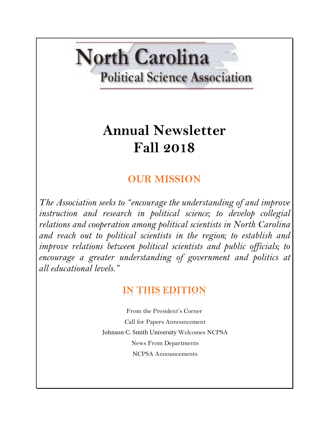# **North Carolina Political Science Association**

# **Annual Newsletter Fall 2018**

## **OUR MISSION**

*The Association seeks to "encourage the understanding of and improve instruction and research in political science; to develop collegial relations and cooperation among political scientists in North Carolina and reach out to political scientists in the region; to establish and improve relations between political scientists and public officials; to encourage a greater understanding of government and politics at all educational levels."*

# **IN THIS EDITION**

From the President's Corner Call for Papers Announcement Johnson C. Smith University Welcomes NCPSA News From Departments NCPSA Announcements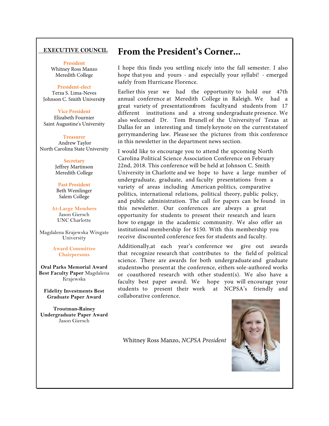#### **EXECUTIVE COUNCIL**

#### **President**

Whitney Ross Manzo Meredith College

#### **President-elect**

Terza S. Lima-Neves Johnson C. Smith Universit**y**

#### **Vice President**

Elizabeth Fournier Saint Augustine's University

#### **Treasurer**

 Andrew Taylor North Carolina State University

> **Secretary** Jeffrey Martinson Meredith College

**Past President**  Beth Wemlinger Salem College

**At-Large Members**  Jason Giersch UNC Charlotte

Magdalena Krajewska Wingate University

> **Award Committee Chairpersons**

**Oral Parks Memorial Award Best Faculty Paper** Magdalena Krajewska

**Fidelity Investments Best Graduate Paper Award** 

**Troutman-Rainey Undergraduate Paper Award**  Jason Giersch

## **From the President's Corner...**

I hope this finds you settling nicely into the fall semester. I also hope that you and yours - and especially your syllabi! - emerged safely from Hurricane Florence.

Earlier this year we had the opportunity to hold our 47th annual conference at Meredith College in Raleigh. We had a great variety of presentationsfrom facultyand students from 17 different institutions and a strong undergraduate presence. We also welcomed Dr. Tom Brunell of the Universityof Texas at Dallas for an interesting and timely keynote on the currentstateof gerrymandering law. Please see the pictures from this conference in this newsletter in the department news section.

I would like to encourage you to attend the upcoming North Carolina Political Science Association Conference on February 22nd, 2018. This conference will be held at Johnson C. Smith University in Charlotte and we hope to have a large number of undergraduate, graduate, and faculty presentations from a variety of areas including American politics, comparative politics, international relations, political theory, public policy, and public administration. The call for papers can be found in this newsletter. Our conferences are always a great opportunity for students to present their research and learn how to engage in the academic community. We also offer an institutional membership for \$150. With this membership you receive discounted conference fees for students and faculty.

Additionally,at each year's conference we give out awards that recognize research that contributes to the field of political science. There are awards for both undergraduate and graduate studentswho present at the conference, eithers sole-authored works or coauthored research with other student(s). We also have a faculty best paper award. We hope you will encourage your students to present their work at NCPSA's friendly and collaborative conference.

Whitney Ross Manzo, *NCPSA President*

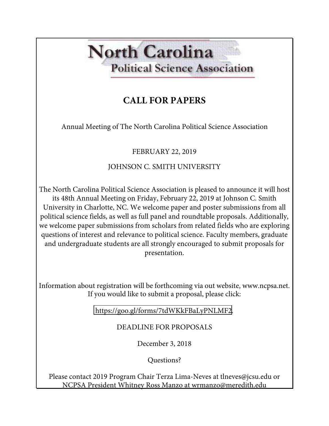# **North Carolina Political Science Association**

## **CALL FOR PAPERS**

Annual Meeting of The North Carolina Political Science Association

FEBRUARY 22, 2019

## JOHNSON C. SMITH UNIVERSITY

The North Carolina Political Science Association is pleased to announce it will host its 48th Annual Meeting on Friday, February 22, 2019 at Johnson C. Smith University in Charlotte, NC. We welcome paper and poster submissions from all political science fields, as well as full panel and roundtable proposals. Additionally, we welcome paper submissions from scholars from related fields who are exploring questions of interest and relevance to political science. Faculty members, graduate and undergraduate students are all strongly encouraged to submit proposals for presentation.

Information about registration will be forthcoming via out website, www.ncpsa.net. If you would like to submit a proposal, please click:

https://goo.gl/forms/7tdWKkFBaLyPNLMF2.

### DEADLINE FOR PROPOSALS

December 3, 2018

Questions?

Please contact 2019 Program Chair Terza Lima-Neves at tlneves@jcsu.edu or NCPSA President Whitney Ross Manzo at wrmanzo@meredith.edu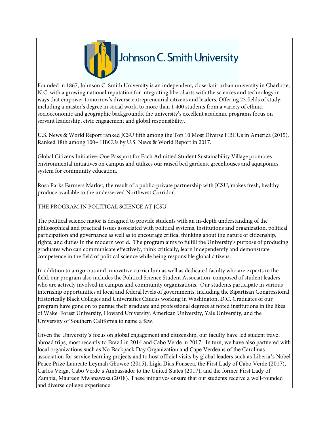

Founded in 1867, Johnson C. Smith University is an independent, close-knit urban university in Charlotte, N.C. with a growing national reputation for integrating liberal arts with the sciences and technology in ways that empower tomorrow's diverse entrepreneurial citizens and leaders. Offering 23 fields of study, including a master's degree in social work, to more than 1,400 students from a variety of ethnic, socioeconomic and geographic backgrounds, the university's excellent academic programs focus on servant leadership, civic engagement and global responsibility.

U.S. News & World Report ranked JCSU fifth among the Top 10 Most Diverse HBCUs in America (2015). Ranked 18th among 100+ HBCUs by U.S. News & World Report in 2017.

Global Citizens Initiative: One Passport for Each Admitted Student Sustainability Village promotes environmental initiatives on campus and utilizes our raised bed gardens, greenhouses and aquaponics system for community education.

Rosa Parks Farmers Market, the result of a public-private partnership with JCSU, makes fresh, healthy produce available to the underserved Northwest Corridor.

THE PROGRAM IN POLITICAL SCIENCE AT JCSU

The political science major is designed to provide students with an in-depth understanding of the philosophical and practical issues associated with political systems, institutions and organization, political participation and governance as well as to encourage critical thinking about the nature of citizenship, rights, and duties in the modern world. The program aims to fulfill the University's purpose of producing graduates who can communicate effectively, think critically, learn independently and demonstrate competence in the field of political science while being responsible global citizens.

In addition to a rigorous and innovative curriculum as well as dedicated faculty who are experts in the field, our program also includes the Political Science Student Association, composed of student leaders who are actively involved in campus and community organizations. Our students participate in various internship opportunities at local and federal levels of governments, including the Bipartisan Congressional Historically Black Colleges and Universities Caucus working in Washington, D.C. Graduates of our program have gone on to pursue their graduate and professional degrees at noted institutions in the likes of Wake Forest University, Howard University, American University, Yale University, and the University of Southern California to name a few.

Given the University's focus on global engagement and citizenship, our faculty have led student travel abroad trips, most recently to Brazil in 2014 and Cabo Verde in 2017. In turn, we have also partnered with local organizations such as No Backpack Day Organization and Cape Verdeans of the Carolinas association for service learning projects and to host official visits by global leaders such as Liberia's Nobel Peace Prize Laureate Leymah Gbowee (2015), Ligia Dias Fonseca, the First Lady of Cabo Verde (2017), Carlos Veiga, Cabo Verde's Ambassador to the United States (2017), and the former First Lady of Zambia, Maureen Mwanawasa (2018). These initiatives ensure that our students receive a well-rounded and diverse college experience.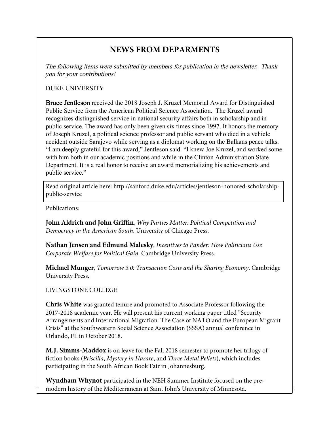## **NEWS FROM DEPARMENTS**

The following items were submitted by members for publication in the newsletter. Thank you for your contributions!

#### DUKE UNIVERSITY

Bruce Jentleson received the 2018 Joseph J. Kruzel Memorial Award for Distinguished Public Service from the American Political Science Association. The Kruzel award recognizes distinguished service in national security affairs both in scholarship and in public service. The award has only been given six times since 1997. It honors the memory of Joseph Kruzel, a political science professor and public servant who died in a vehicle accident outside Sarajevo while serving as a diplomat working on the Balkans peace talks. "I am deeply grateful for this award," Jentleson said. "I knew Joe Kruzel, and worked some with him both in our academic positions and while in the Clinton Administration State Department. It is a real honor to receive an award memorializing his achievements and public service."

Read original article here: http://sanford.duke.edu/articles/jentleson-honored-scholarshippublic-service

Publications:

**John Aldrich and John Griffin**, *Why Parties Matter: Political Competition and Democracy in the American South*. University of Chicago Press.

**Nathan Jensen and Edmund Malesky**, *Incentives to Pander: How Politicians Use Corporate Welfare for Political Gain*. Cambridge University Press.

**Michael Munger**, *Tomorrow 3.0: Transaction Costs and the Sharing Economy*. Cambridge University Press.

#### LIVINGSTONE COLLEGE

**Chris White** was granted tenure and promoted to Associate Professor following the 2017-2018 academic year. He will present his current working paper titled "Security Arrangements and International Migration: The Case of NATO and the European Migrant Crisis" at the Southwestern Social Science Association (SSSA) annual conference in Orlando, FL in October 2018.

**M.J. Simms-Maddox** is on leave for the Fall 2018 semester to promote her trilogy of fiction books (*Priscilla*, *Mystery in Harare*, and *Three Metal Pellets*), which includes participating in the South African Book Fair in Johannesburg.

**Wyndham Whynot** participated in the NEH Summer Institute focused on the premodern history of the Mediterranean at Saint John's University of Minnesota.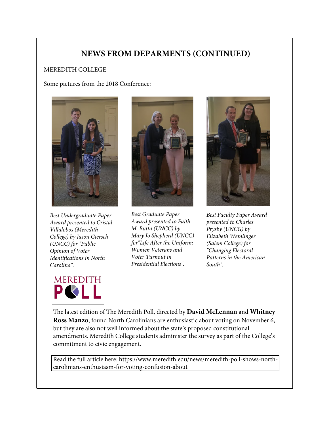### **NEWS FROM DEPARMENTS (CONTINUED)**

#### MEREDITH COLLEGE

Some pictures from the 2018 Conference:



*Best Undergraduate Paper Award presented to Cristal Villalobos (Meredith College) by Jason Giersch (UNCC) for "Public Opinion of Voter Identifications in North Carolina".*





*Best Graduate Paper Award presented to Faith M. Butta (UNCC) by Mary Jo Shepherd (UNCC) for"Life After the Uniform: Women Veterans and Voter Turnout in Presidential Elections".*



*Best Faculty Paper Award presented to Charles Prysby (UNCG) by Elizabeth Wemlinger (Salem College) for "Changing Electoral Patterns in the American South".*

The latest edition of The Meredith Poll, directed by **David McLennan** and **Whitney Ross Manzo**, found North Carolinians are enthusiastic about voting on November 6, but they are also not well informed about the state's proposed constitutional amendments. Meredith College students administer the survey as part of the College's commitment to civic engagement.

Read the full article here: https://www.meredith.edu/news/meredith-poll-shows-northcarolinians-enthusiasm-for-voting-confusion-about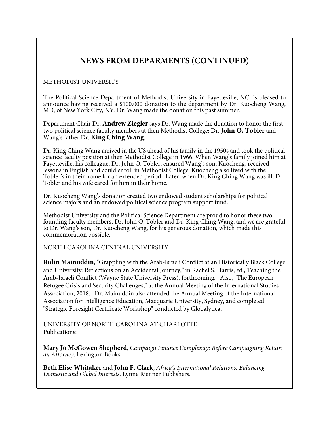## **NEWS FROM DEPARMENTS (CONTINUED)**

#### METHODIST UNIVERSITY

The Political Science Department of Methodist University in Fayetteville, NC, is pleased to announce having received a \$100,000 donation to the department by Dr. Kuocheng Wang, MD, of New York City, NY. Dr. Wang made the donation this past summer.

Department Chair Dr. **Andrew Ziegler** says Dr. Wang made the donation to honor the first two political science faculty members at then Methodist College: Dr. **John O. Tobler** and Wang's father Dr. **King Ching Wang**.

Dr. King Ching Wang arrived in the US ahead of his family in the 1950s and took the political science faculty position at then Methodist College in 1966. When Wang's family joined him at Fayetteville, his colleague, Dr. John O. Tobler, ensured Wang's son, Kuocheng, received lessons in English and could enroll in Methodist College. Kuocheng also lived with the Tobler's in their home for an extended period. Later, when Dr. King Ching Wang was ill, Dr. Tobler and his wife cared for him in their home.

Dr. Kuocheng Wang's donation created two endowed student scholarships for political science majors and an endowed political science program support fund.

Methodist University and the Political Science Department are proud to honor these two founding faculty members, Dr. John O. Tobler and Dr. King Ching Wang, and we are grateful to Dr. Wang's son, Dr. Kuocheng Wang, for his generous donation, which made this commemoration possible.

NORTH CAROLINA CENTRAL UNIVERSITY

**Rolin Mainuddin**, "Grappling with the Arab-Israeli Conflict at an Historically Black College and University: Reflections on an Accidental Journey," in Rachel S. Harris, ed., Teaching the Arab-Israeli Conflict (Wayne State University Press), forthcoming. Also, "The European Refugee Crisis and Security Challenges," at the Annual Meeting of the International Studies Association, 2018. Dr. Mainuddin also attended the Annual Meeting of the International Association for Intelligence Education, Macquarie University, Sydney, and completed "Strategic Foresight Certificate Workshop" conducted by Globalytica.

UNIVERSITY OF NORTH CAROLINA AT CHARLOTTE Publications:

**Mary Jo McGowen Shepherd**, *Campaign Finance Complexity: Before Campaigning Retain an Attorney*. Lexington Books.

**Beth Elise Whitaker** and **John F. Clark**, *Africa's International Relations: Balancing Domestic and Global Interests*. Lynne Rienner Publishers.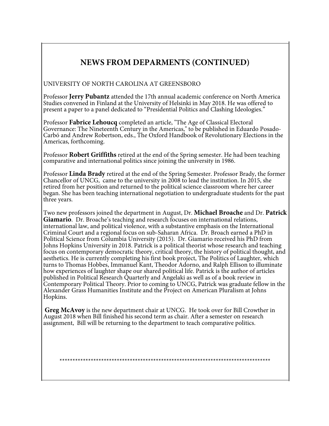## **NEWS FROM DEPARMENTS (CONTINUED)**

#### UNIVERSITY OF NORTH CAROLINA AT GREENSBORO

Professor **Jerry Pubantz** attended the 17th annual academic conference on North America Studies convened in Finland at the University of Helsinki in May 2018. He was offered to present a paper to a panel dedicated to "Presidential Politics and Clashing Ideologies."

Professor **Fabrice Lehoucq** completed an article, "The Age of Classical Electoral Governance: The Nineteenth Century in the Americas," to be published in Eduardo Posado-Carbó and Andrew Robertson, eds., The Oxford Handbook of Revolutionary Elections in the Americas, forthcoming.

Professor **Robert Griffiths** retired at the end of the Spring semester. He had been teaching comparative and international politics since joining the university in 1986.

Professor **Linda Brady** retired at the end of the Spring Semester. Professor Brady, the former Chancellor of UNCG, came to the university in 2008 to lead the institution. In 2015, she retired from her position and returned to the political science classroom where her career began. She has been teaching international negotiation to undergraduate students for the past three years.

Two new professors joined the department in August, Dr. **Michael Broache** and Dr. **Patrick Giamario**. Dr. Broache's teaching and research focuses on international relations, international law, and political violence, with a substantive emphasis on the International Criminal Court and a regional focus on sub-Saharan Africa. Dr. Broach earned a PhD in Political Science from Columbia University (2015). Dr. Giamario received his PhD from Johns Hopkins University in 2018. Patrick is a political theorist whose research and teaching focus on contemporary democratic theory, critical theory, the history of political thought, and aesthetics. He is currently completing his first book project, The Politics of Laughter, which turns to Thomas Hobbes, Immanuel Kant, Theodor Adorno, and Ralph Ellison to illuminate how experiences of laughter shape our shared political life. Patrick is the author of articles published in Political Research Quarterly and Angelaki as well as of a book review in Contemporary Political Theory. Prior to coming to UNCG, Patrick was graduate fellow in the Alexander Grass Humanities Institute and the Project on American Pluralism at Johns Hopkins.

**Greg McAvoy** is the new department chair at UNCG. He took over for Bill Crowther in August 2018 when Bill finished his second term as chair. After a semester on research assignment, Bill will be returning to the department to teach comparative politics.

\*\*\*\*\*\*\*\*\*\*\*\*\*\*\*\*\*\*\*\*\*\*\*\*\*\*\*\*\*\*\*\*\*\*\*\*\*\*\*\*\*\*\*\*\*\*\*\*\*\*\*\*\*\*\*\*\*\*\*\*\*\*\*\*\*\*\*\*\*\*\*\*\*\*\*\*\*\*\*\*\*